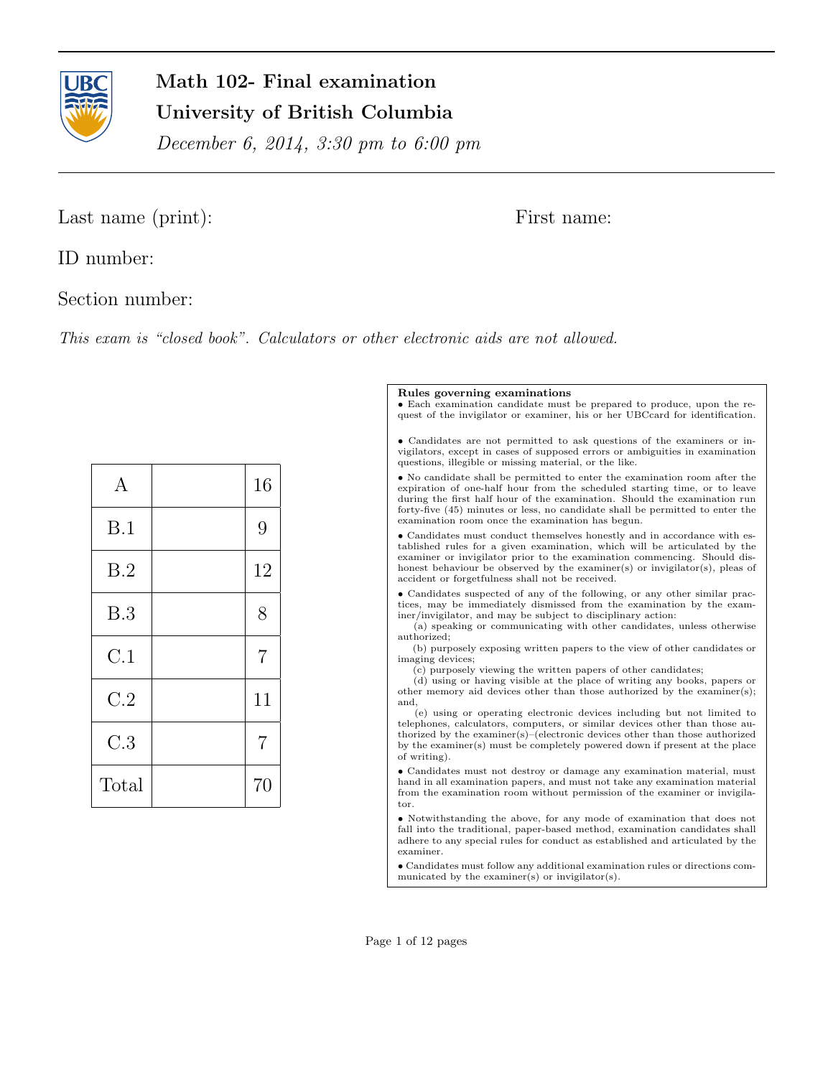

# Math 102- Final examination University of British Columbia

December 6, 2014, 3:30 pm to 6:00 pm

## Last name (print): First name:

ID number:

Section number:

This exam is "closed book". Calculators or other electronic aids are not allowed.

| $\mathbf{A}$ | 16             |
|--------------|----------------|
| B.1          | 9              |
| B.2          | 12             |
| B.3          | 8              |
| C.1          | $\overline{7}$ |
| C.2          | 11             |
| C.3          | $\overline{7}$ |
| Total        | 70             |

### Rules governing examinations

• Each examination candidate must be prepared to produce, upon the request of the invigilator or examiner, his or her UBCcard for identification.

• Candidates are not permitted to ask questions of the examiners or invigilators, except in cases of supposed errors or ambiguities in examination questions, illegible or missing material, or the like.

• No candidate shall be permitted to enter the examination room after the expiration of one-half hour from the scheduled starting time, or to leave during the first half hour of the examination. Should the examination run forty-five (45) minutes or less, no candidate shall be permitted to enter the examination room once the examination has begun.

• Candidates must conduct themselves honestly and in accordance with established rules for a given examination, which will be articulated by the examiner or invigilator prior to the examination commencing. Should dishonest behaviour be observed by the examiner(s) or invigilator(s), pleas of accident or forgetfulness shall not be received.

• Candidates suspected of any of the following, or any other similar practices, may be immediately dismissed from the examination by the examiner/invigilator, and may be subject to disciplinary action:

(a) speaking or communicating with other candidates, unless otherwise authorized;

(b) purposely exposing written papers to the view of other candidates or imaging devices;

(c) purposely viewing the written papers of other candidates;

(d) using or having visible at the place of writing any books, papers or other memory aid devices other than those authorized by the examiner(s); and,

(e) using or operating electronic devices including but not limited to telephones, calculators, computers, or similar devices other than those authorized by the examiner(s)–(electronic devices other than those authorized by the examiner(s) must be completely powered down if present at the place of writing).

• Candidates must not destroy or damage any examination material, must hand in all examination papers, and must not take any examination material from the examination room without permission of the examiner or invigilator.

• Notwithstanding the above, for any mode of examination that does not fall into the traditional, paper-based method, examination candidates shall adhere to any special rules for conduct as established and articulated by the examiner.

• Candidates must follow any additional examination rules or directions communicated by the examiner(s) or invigilator(s).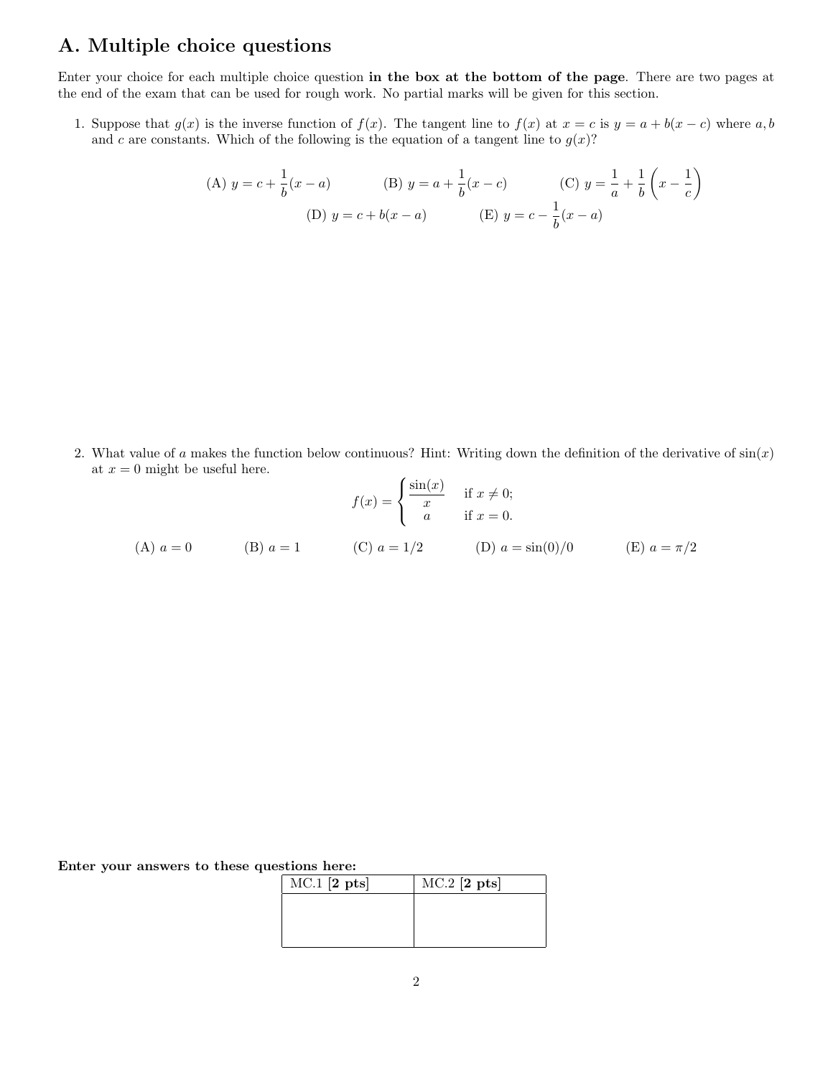## A. Multiple choice questions

Enter your choice for each multiple choice question in the box at the bottom of the page. There are two pages at the end of the exam that can be used for rough work. No partial marks will be given for this section.

1. Suppose that  $g(x)$  is the inverse function of  $f(x)$ . The tangent line to  $f(x)$  at  $x = c$  is  $y = a + b(x - c)$  where  $a, b$ and c are constants. Which of the following is the equation of a tangent line to  $g(x)$ ?

(A) 
$$
y = c + \frac{1}{b}(x - a)
$$
 (B)  $y = a + \frac{1}{b}(x - c)$  (C)  $y = \frac{1}{a} + \frac{1}{b}(x - \frac{1}{c})$   
(D)  $y = c + b(x - a)$  (E)  $y = c - \frac{1}{b}(x - a)$ 

2. What value of a makes the function below continuous? Hint: Writing down the definition of the derivative of  $sin(x)$ at  $x = 0$  might be useful here.

$$
f(x) = \begin{cases} \frac{\sin(x)}{x} & \text{if } x \neq 0; \\ a & \text{if } x = 0. \end{cases}
$$
  
(A)  $a = 0$  (B)  $a = 1$  (C)  $a = 1/2$  (D)  $a = \sin(0)/0$  (E)  $a = \pi/2$ 

|  |  |  |  |  | Enter your answers to these questions here: |  |
|--|--|--|--|--|---------------------------------------------|--|
|--|--|--|--|--|---------------------------------------------|--|

| $MC.1$ [2 pts] | $MC.2$ [2 pts] |
|----------------|----------------|
|                |                |
|                |                |
|                |                |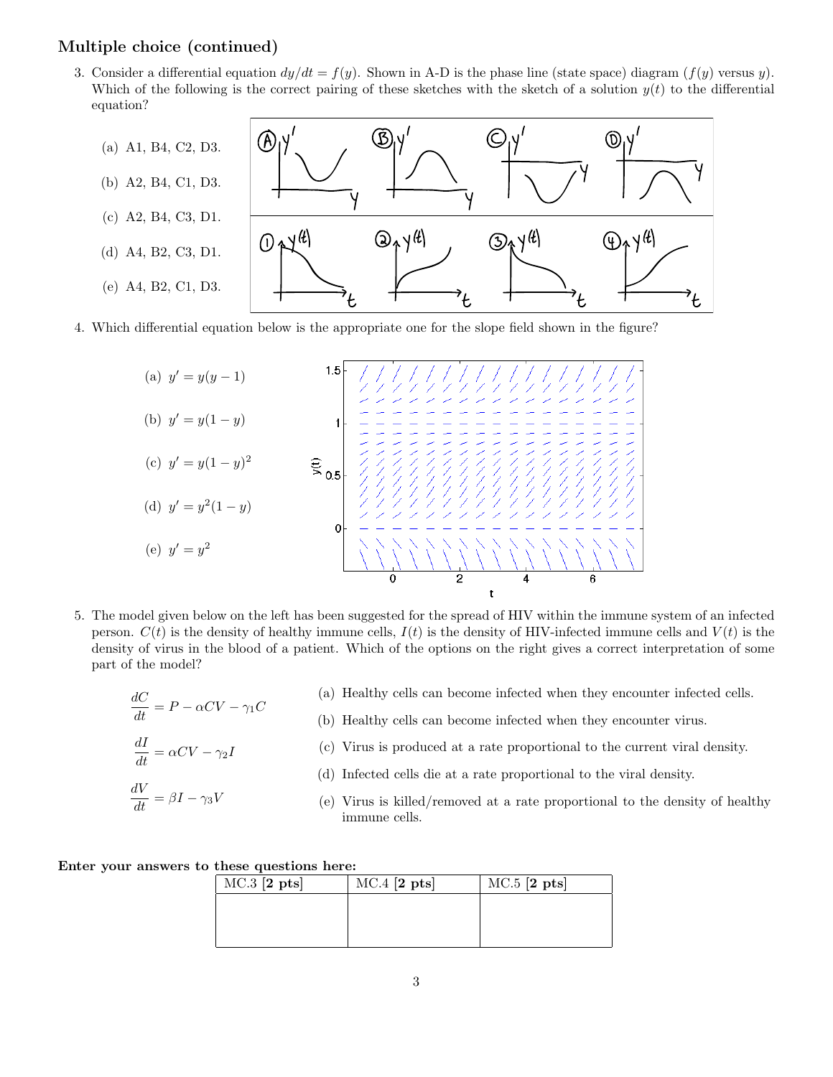### Multiple choice (continued)

3. Consider a differential equation  $dy/dt = f(y)$ . Shown in A-D is the phase line (state space) diagram  $(f(y)$  versus y). Which of the following is the correct pairing of these sketches with the sketch of a solution  $y(t)$  to the differential equation?



4. Which differential equation below is the appropriate one for the slope field shown in the figure?



- 5. The model given below on the left has been suggested for the spread of HIV within the immune system of an infected person.  $C(t)$  is the density of healthy immune cells,  $I(t)$  is the density of HIV-infected immune cells and  $V(t)$  is the density of virus in the blood of a patient. Which of the options on the right gives a correct interpretation of some part of the model?
	- $\frac{dC}{dt} = P \alpha CV \gamma_1 C$  $\frac{dI}{dt} = \alpha CV - \gamma_2 I$ (a) Healthy cells can become infected when they encounter infected cells. (b) Healthy cells can become infected when they encounter virus. (c) Virus is produced at a rate proportional to the current viral density. (d) Infected cells die at a rate proportional to the viral density.
	- $\frac{dV}{dt} = \beta I \gamma_3 V$ (e) Virus is killed/removed at a rate proportional to the density of healthy immune cells.

#### Enter your answers to these questions here:

| $MC.3$ [2 pts] | $MC.4$ [2 pts] | $MC.5$ [2 pts] |
|----------------|----------------|----------------|
|                |                |                |
|                |                |                |
|                |                |                |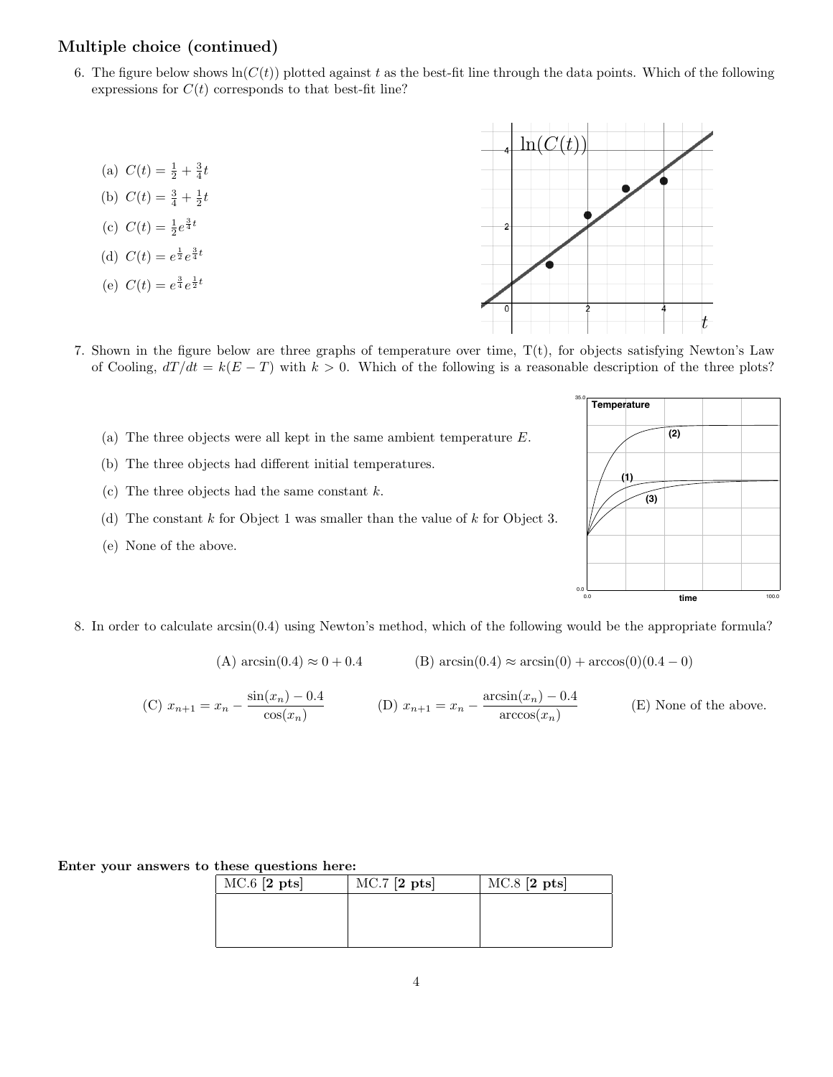### Multiple choice (continued)

- 6. The figure below shows  $ln(C(t))$  plotted against t as the best-fit line through the data points. Which of the following expressions for  $C(t)$  corresponds to that best-fit line?
	- (a)  $C(t) = \frac{1}{2} + \frac{3}{4}t$
	- (b)  $C(t) = \frac{3}{4} + \frac{1}{2}t$
	- (c)  $C(t) = \frac{1}{2}e^{\frac{3}{4}t}$
	- (d)  $C(t) = e^{\frac{1}{2}}e^{\frac{3}{4}t}$
	- (e)  $C(t) = e^{\frac{3}{4}}e^{\frac{1}{2}t}$



- 7. Shown in the figure below are three graphs of temperature over time, T(t), for objects satisfying Newton's Law of Cooling,  $dT/dt = k(E - T)$  with  $k > 0$ . Which of the following is a reasonable description of the three plots?
	- (a) The three objects were all kept in the same ambient temperature E.
	- (b) The three objects had different initial temperatures.
	- (c) The three objects had the same constant  $k$ .
	- (d) The constant  $k$  for Object 1 was smaller than the value of  $k$  for Object 3.
	- (e) None of the above.



8. In order to calculate arcsin(0.4) using Newton's method, which of the following would be the appropriate formula?

(A) 
$$
\arcsin(0.4) \approx 0 + 0.4
$$
 (B)  $\arcsin(0.4) \approx \arcsin(0) + \arccos(0)(0.4 - 0)$ 

(C) 
$$
x_{n+1} = x_n - \frac{\sin(x_n) - 0.4}{\cos(x_n)}
$$
 (D)  $x_{n+1} = x_n - \frac{\arcsin(x_n) - 0.4}{\arccos(x_n)}$  (E) None of the above.

### Enter your answers to these questions here:

| $MC.6$ [2 pts] | $MC.7$ [2 pts] | $MC.8$ [2 pts] |
|----------------|----------------|----------------|
|                |                |                |
|                |                |                |
|                |                |                |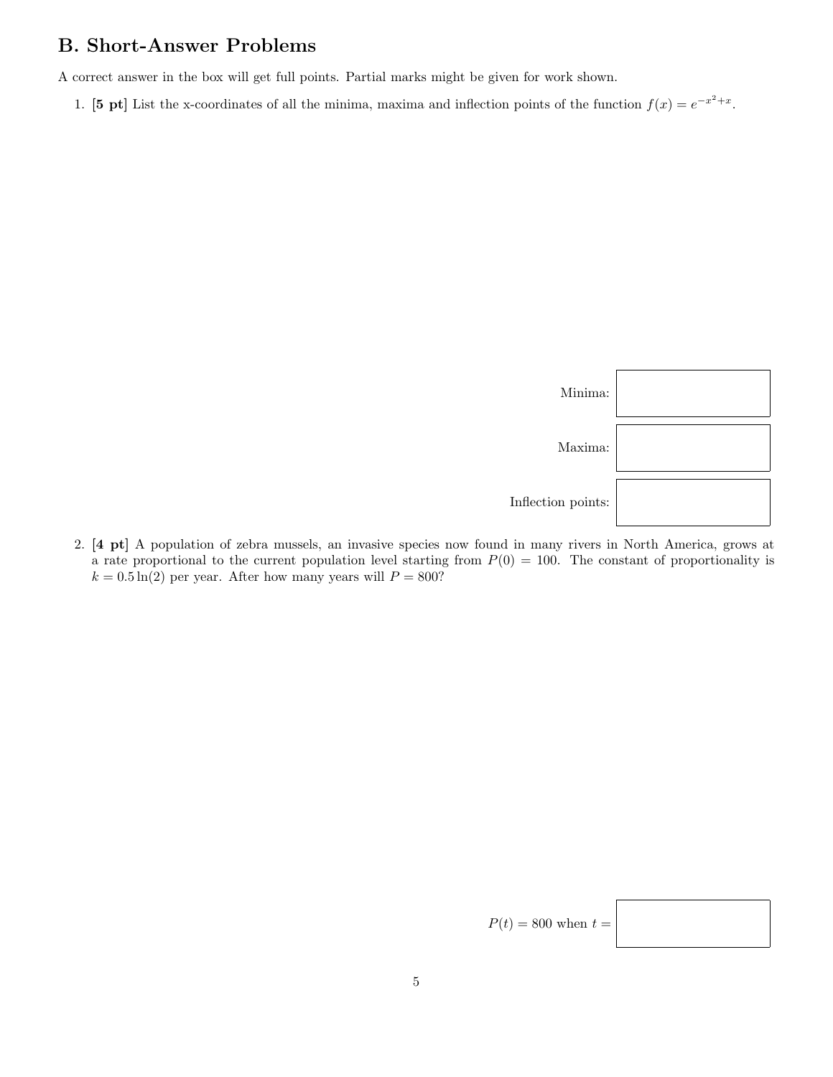## B. Short-Answer Problems

A correct answer in the box will get full points. Partial marks might be given for work shown.

1. [5 pt] List the x-coordinates of all the minima, maxima and inflection points of the function  $f(x) = e^{-x^2 + x}$ .



2. [4 pt] A population of zebra mussels, an invasive species now found in many rivers in North America, grows at a rate proportional to the current population level starting from  $P(0) = 100$ . The constant of proportionality is  $k = 0.5 \ln(2)$  per year. After how many years will  $P = 800$ ?

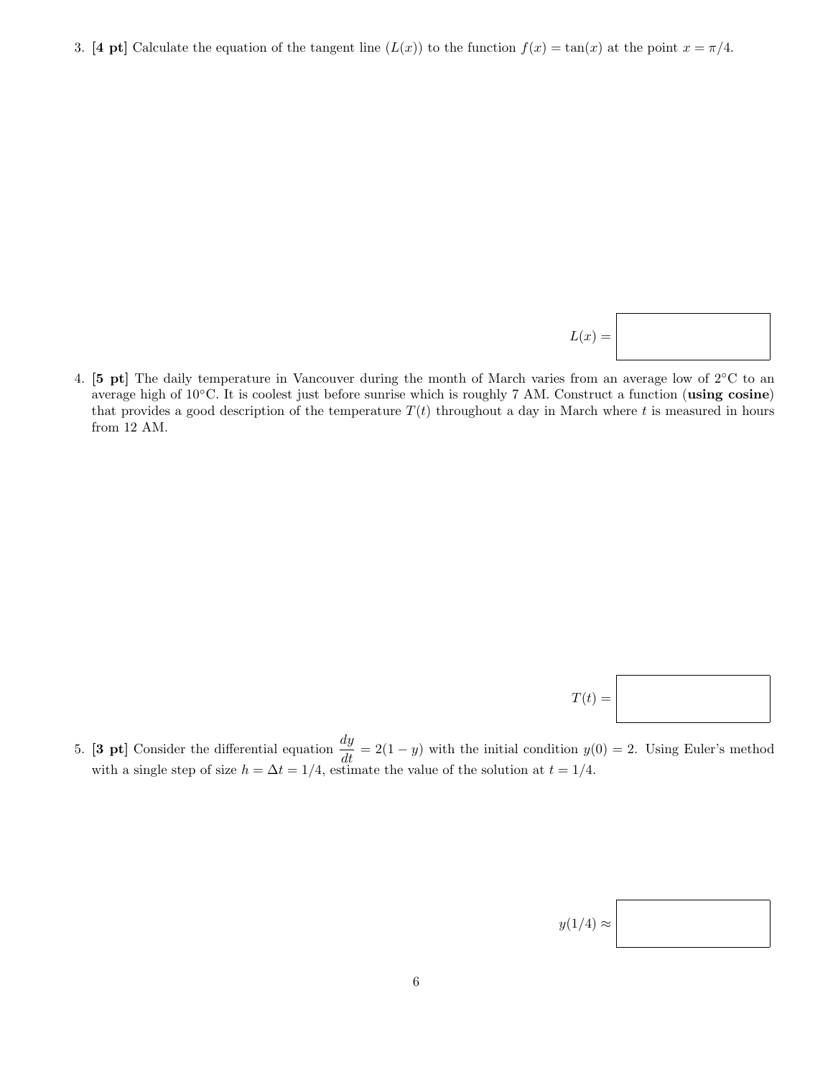3. [4 pt] Calculate the equation of the tangent line  $(L(x))$  to the function  $f(x) = \tan(x)$  at the point  $x = \pi/4$ .

$$
L(x) =
$$

4. [5 pt] The daily temperature in Vancouver during the month of March varies from an average low of 2◦C to an average high of 10◦C. It is coolest just before sunrise which is roughly 7 AM. Construct a function (using cosine) that provides a good description of the temperature  $T(t)$  throughout a day in March where t is measured in hours from 12 AM.

$$
T(t) = \boxed{\phantom{\Bigg|}}
$$

5. **[3 pt]** Consider the differential equation  $\frac{dy}{dt} = 2(1 - y)$  with the initial condition  $y(0) = 2$ . Using Euler's method with a single step of size  $h = \Delta t = 1/4$ , estimate the value of the solution at  $t = 1/4$ .

| $y(1/4) \approx$ |  |
|------------------|--|
|------------------|--|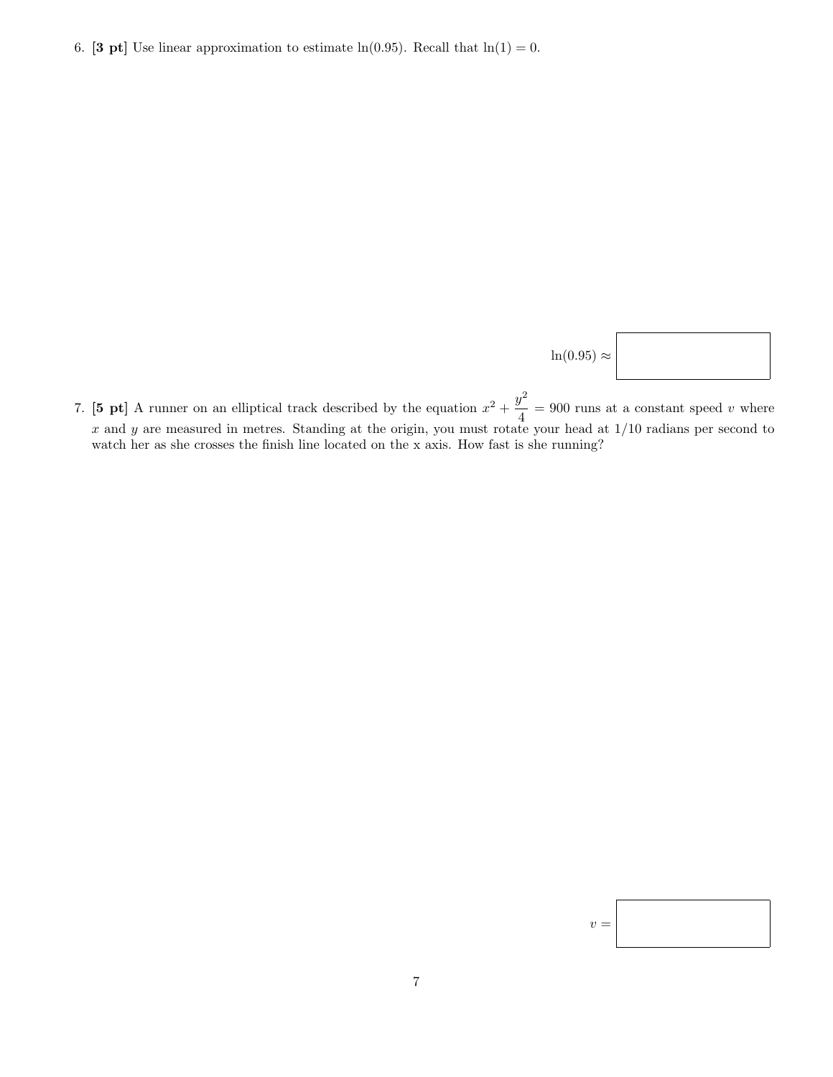6. [3 pt] Use linear approximation to estimate ln(0.95). Recall that  $ln(1) = 0$ .

 $\ln(0.95) \approx$ 

7. [5 pt] A runner on an elliptical track described by the equation  $x^2 + \frac{y^2}{4}$  $\frac{y}{4}$  = 900 runs at a constant speed v where x and y are measured in metres. Standing at the origin, you must rotate your head at  $1/10$  radians per second to watch her as she crosses the finish line located on the x axis. How fast is she running?

| ۰.<br>× |  |
|---------|--|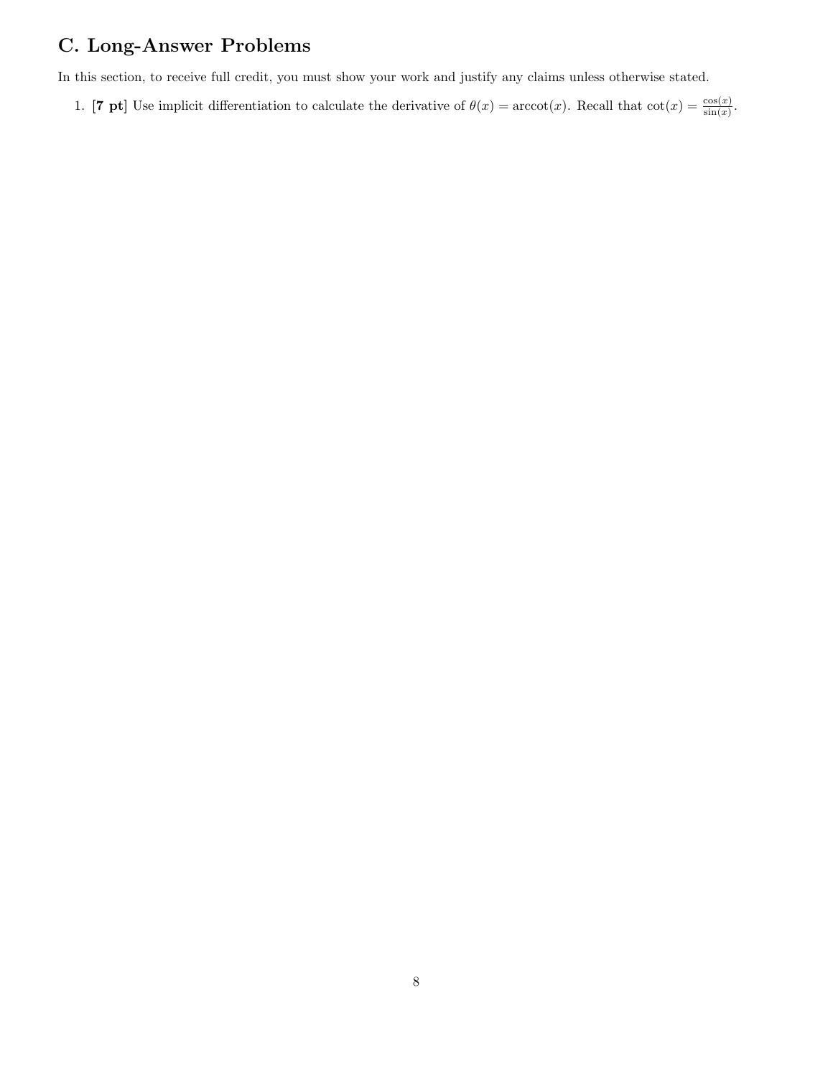# C. Long-Answer Problems

In this section, to receive full credit, you must show your work and justify any claims unless otherwise stated.

1. [7 pt] Use implicit differentiation to calculate the derivative of  $\theta(x) = \arccot(x)$ . Recall that  $\cot(x) = \frac{\cos(x)}{\sin(x)}$ .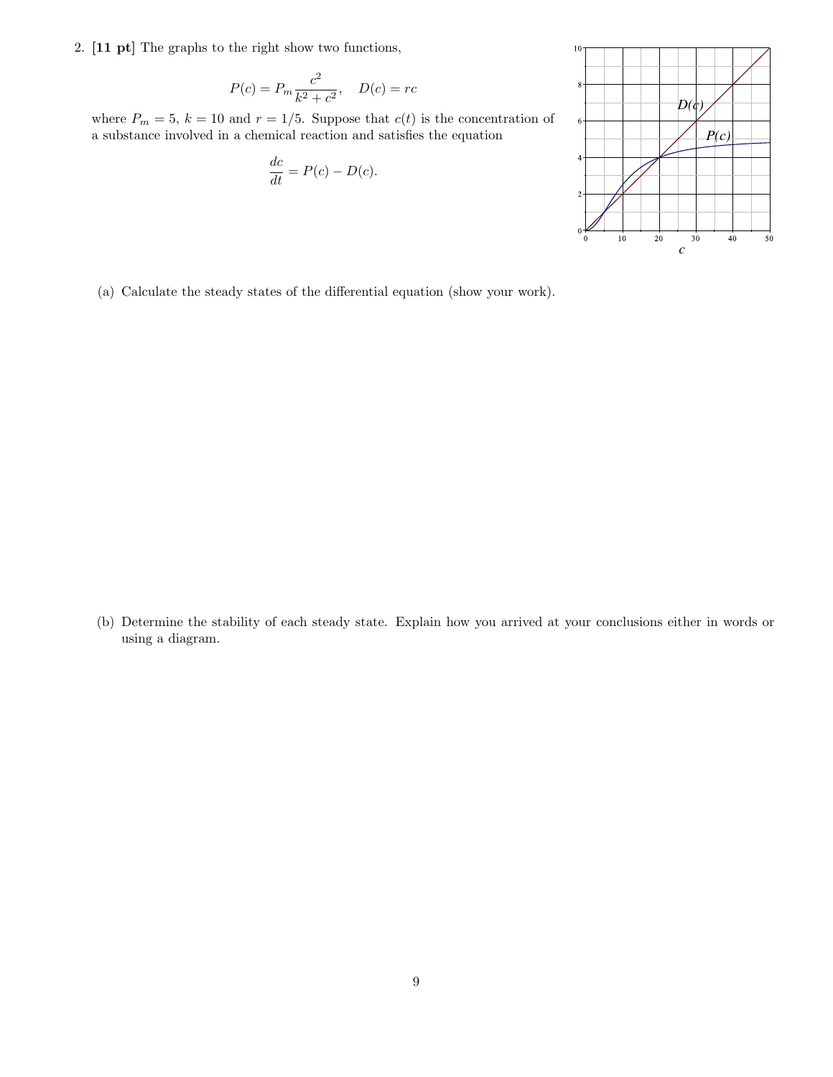2. [11 pt] The graphs to the right show two functions,

$$
P(c) = P_m \frac{c^2}{k^2 + c^2}, \quad D(c) = rc
$$

where  $P_m = 5$ ,  $k = 10$  and  $r = 1/5$ . Suppose that  $c(t)$  is the concentration of a substance involved in a chemical reaction and satisfies the equation

$$
\frac{dc}{dt} = P(c) - D(c).
$$



(a) Calculate the steady states of the differential equation (show your work).

(b) Determine the stability of each steady state. Explain how you arrived at your conclusions either in words or using a diagram.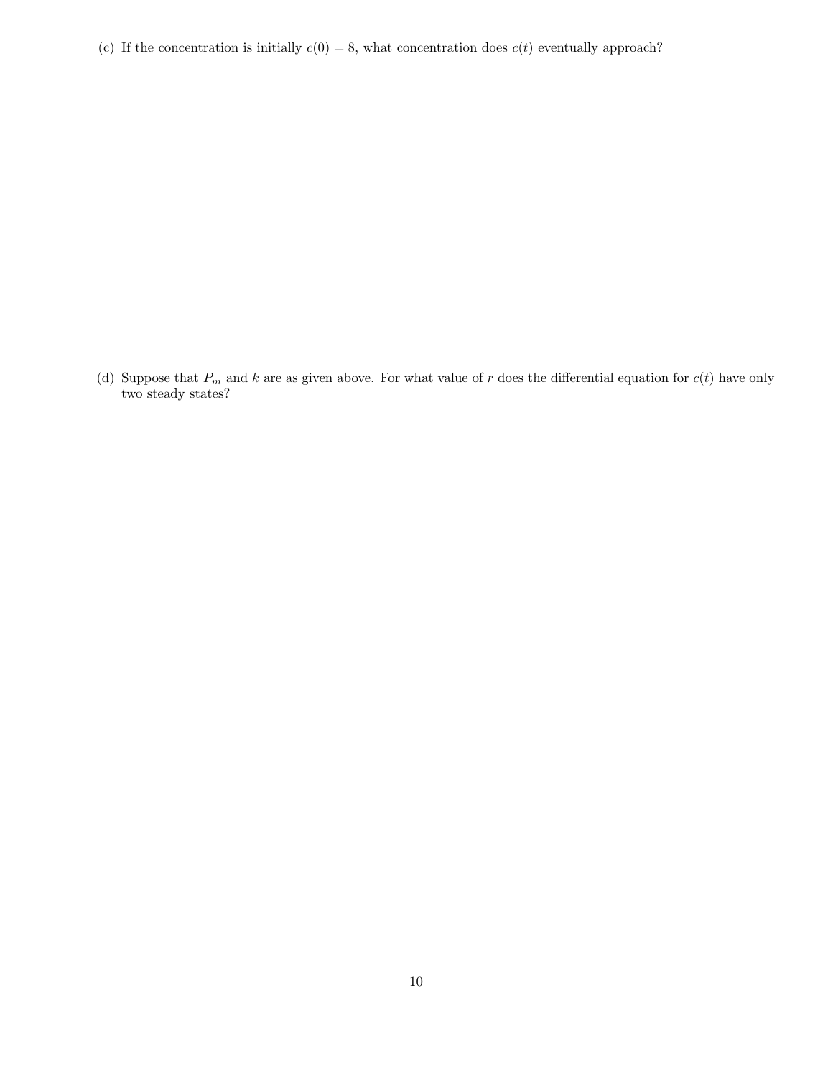(c) If the concentration is initially  $c(0) = 8$ , what concentration does  $c(t)$  eventually approach?

(d) Suppose that  $P_m$  and k are as given above. For what value of r does the differential equation for  $c(t)$  have only two steady states?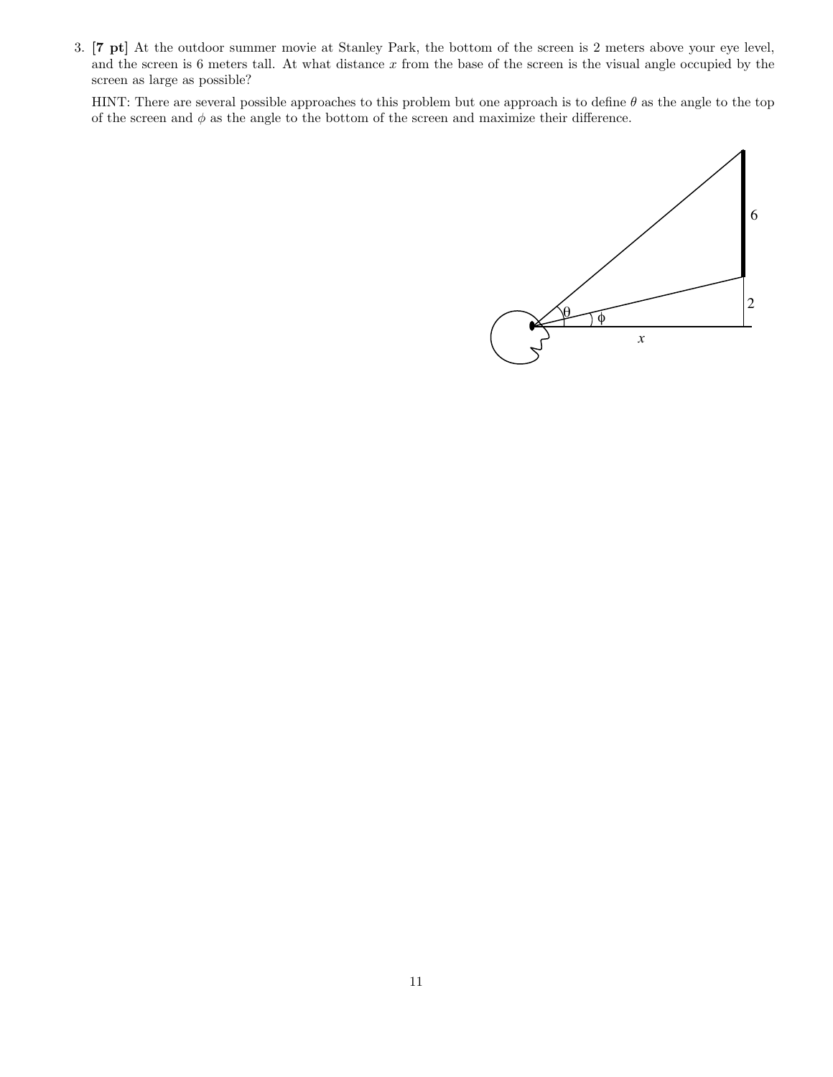3. [7 pt] At the outdoor summer movie at Stanley Park, the bottom of the screen is 2 meters above your eye level, and the screen is 6 meters tall. At what distance  $x$  from the base of the screen is the visual angle occupied by the screen as large as possible?

HINT: There are several possible approaches to this problem but one approach is to define  $\theta$  as the angle to the top of the screen and  $\phi$  as the angle to the bottom of the screen and maximize their difference.